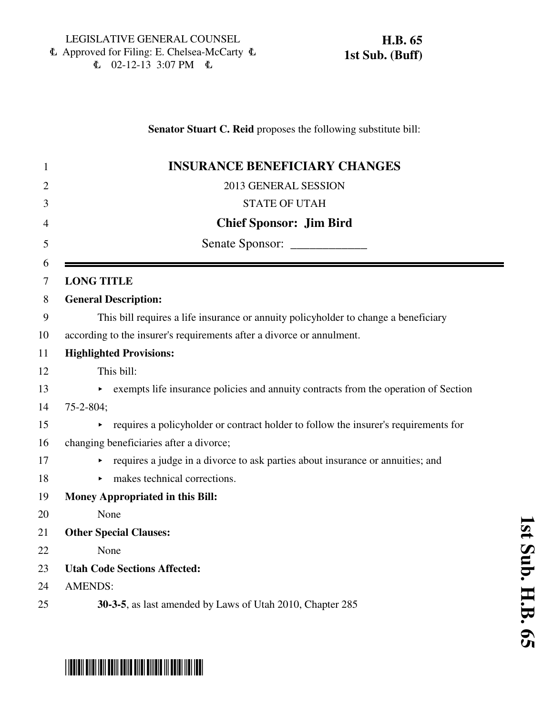**H.B. 65 1st Sub. (Buff)**

 $\mathbb{C}$  02-12-13 3:07 PM  $\mathbb{C}$ 

## **Senator Stuart C. Reid** proposes the following substitute bill:

| $\mathbf{1}$   | <b>INSURANCE BENEFICIARY CHANGES</b>                                                     |
|----------------|------------------------------------------------------------------------------------------|
| $\overline{2}$ | 2013 GENERAL SESSION                                                                     |
| 3              | <b>STATE OF UTAH</b>                                                                     |
| 4              | <b>Chief Sponsor: Jim Bird</b>                                                           |
| 5              | Senate Sponsor:                                                                          |
| 6<br>7         | <b>LONG TITLE</b>                                                                        |
| 8              | <b>General Description:</b>                                                              |
| 9              | This bill requires a life insurance or annuity policyholder to change a beneficiary      |
| 10             | according to the insurer's requirements after a divorce or annulment.                    |
| 11             | <b>Highlighted Provisions:</b>                                                           |
| 12             | This bill:                                                                               |
| 13             | exempts life insurance policies and annuity contracts from the operation of Section<br>▶ |
| 14             | $75 - 2 - 804$ ;                                                                         |
| 15             | requires a policyholder or contract holder to follow the insurer's requirements for      |
| 16             | changing beneficiaries after a divorce;                                                  |
| 17             | requires a judge in a divorce to ask parties about insurance or annuities; and           |
| 18             | $\triangleright$ makes technical corrections.                                            |
| 19             | <b>Money Appropriated in this Bill:</b>                                                  |
| 20             | None                                                                                     |
| 21             | <b>Other Special Clauses:</b>                                                            |
| 22             | None                                                                                     |
| 23             | <b>Utah Code Sections Affected:</b>                                                      |
| 24             | <b>AMENDS:</b>                                                                           |
| 25             | 30-3-5, as last amended by Laws of Utah 2010, Chapter 285                                |

 $\equiv$ 

# \*HB0065S01\*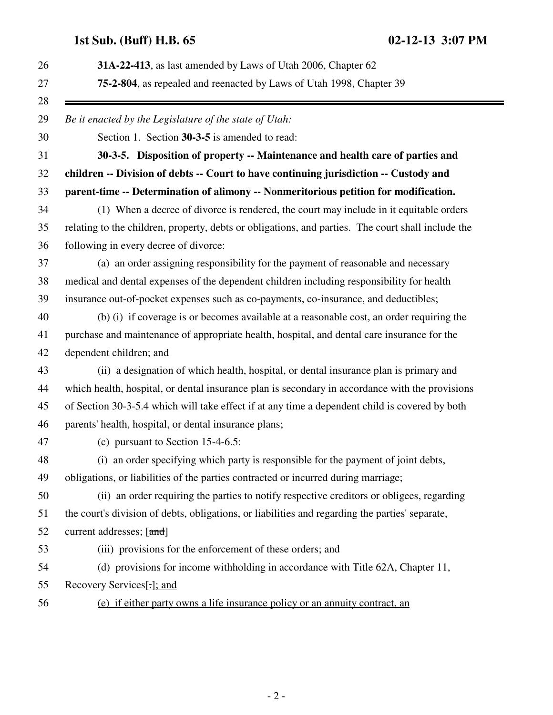| 31A-22-413, as last amended by Laws of Utah 2006, Chapter 62                                       |
|----------------------------------------------------------------------------------------------------|
| 75-2-804, as repealed and reenacted by Laws of Utah 1998, Chapter 39                               |
| Be it enacted by the Legislature of the state of Utah:                                             |
| Section 1. Section 30-3-5 is amended to read:                                                      |
| 30-3-5. Disposition of property -- Maintenance and health care of parties and                      |
| children -- Division of debts -- Court to have continuing jurisdiction -- Custody and              |
| parent-time -- Determination of alimony -- Nonmeritorious petition for modification.               |
| (1) When a decree of divorce is rendered, the court may include in it equitable orders             |
| relating to the children, property, debts or obligations, and parties. The court shall include the |
| following in every decree of divorce:                                                              |
| (a) an order assigning responsibility for the payment of reasonable and necessary                  |
| medical and dental expenses of the dependent children including responsibility for health          |
| insurance out-of-pocket expenses such as co-payments, co-insurance, and deductibles;               |
| (b) (i) if coverage is or becomes available at a reasonable cost, an order requiring the           |
| purchase and maintenance of appropriate health, hospital, and dental care insurance for the        |
| dependent children; and                                                                            |
| (ii) a designation of which health, hospital, or dental insurance plan is primary and              |
| which health, hospital, or dental insurance plan is secondary in accordance with the provisions    |
| of Section 30-3-5.4 which will take effect if at any time a dependent child is covered by both     |
| parents' health, hospital, or dental insurance plans;                                              |
| (c) pursuant to Section $15-4-6.5$ :                                                               |
| (i) an order specifying which party is responsible for the payment of joint debts,                 |
| obligations, or liabilities of the parties contracted or incurred during marriage;                 |
| (ii) an order requiring the parties to notify respective creditors or obligees, regarding          |
| the court's division of debts, obligations, or liabilities and regarding the parties' separate,    |
| current addresses; [and]                                                                           |
| (iii) provisions for the enforcement of these orders; and                                          |
| (d) provisions for income withholding in accordance with Title 62A, Chapter 11,                    |
| Recovery Services[.]; and                                                                          |
| (e) if either party owns a life insurance policy or an annuity contract, an                        |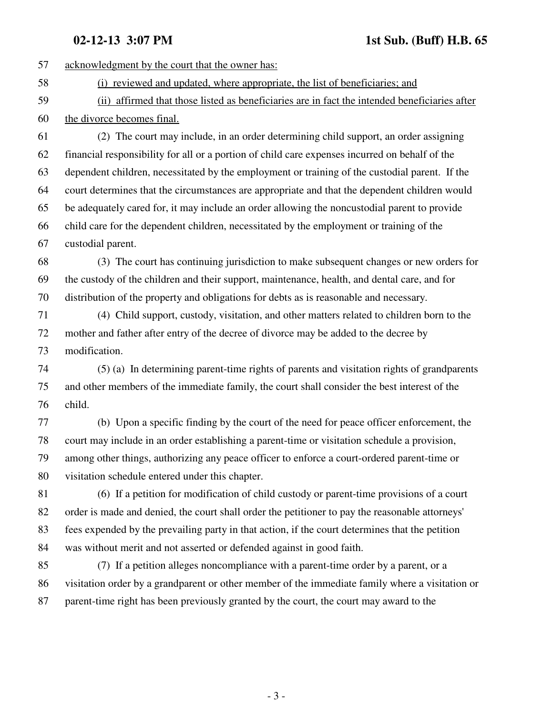**02-12-13 3:07 PM** 1st Sub. (Buff) H.B. 65

57 acknowledgment by the court that the owner has: 58 (i) reviewed and updated, where appropriate, the list of beneficiaries; and 59 (ii) affirmed that those listed as beneficiaries are in fact the intended beneficiaries after 60 the divorce becomes final. 61 (2) The court may include, in an order determining child support, an order assigning 62 financial responsibility for all or a portion of child care expenses incurred on behalf of the 63 dependent children, necessitated by the employment or training of the custodial parent. If the 64 court determines that the circumstances are appropriate and that the dependent children would 65 be adequately cared for, it may include an order allowing the noncustodial parent to provide 66 child care for the dependent children, necessitated by the employment or training of the 67 custodial parent. 68 (3) The court has continuing jurisdiction to make subsequent changes or new orders for 69 the custody of the children and their support, maintenance, health, and dental care, and for 70 distribution of the property and obligations for debts as is reasonable and necessary. 71 (4) Child support, custody, visitation, and other matters related to children born to the 72 mother and father after entry of the decree of divorce may be added to the decree by 73 modification. 74 (5) (a) In determining parent-time rights of parents and visitation rights of grandparents 75 and other members of the immediate family, the court shall consider the best interest of the 76 child. 77 (b) Upon a specific finding by the court of the need for peace officer enforcement, the 78 court may include in an order establishing a parent-time or visitation schedule a provision, 79 among other things, authorizing any peace officer to enforce a court-ordered parent-time or 80 visitation schedule entered under this chapter. 81 (6) If a petition for modification of child custody or parent-time provisions of a court 82 order is made and denied, the court shall order the petitioner to pay the reasonable attorneys' 83 fees expended by the prevailing party in that action, if the court determines that the petition 84 was without merit and not asserted or defended against in good faith. 85 (7) If a petition alleges noncompliance with a parent-time order by a parent, or a 86 visitation order by a grandparent or other member of the immediate family where a visitation or 87 parent-time right has been previously granted by the court, the court may award to the

- 3 -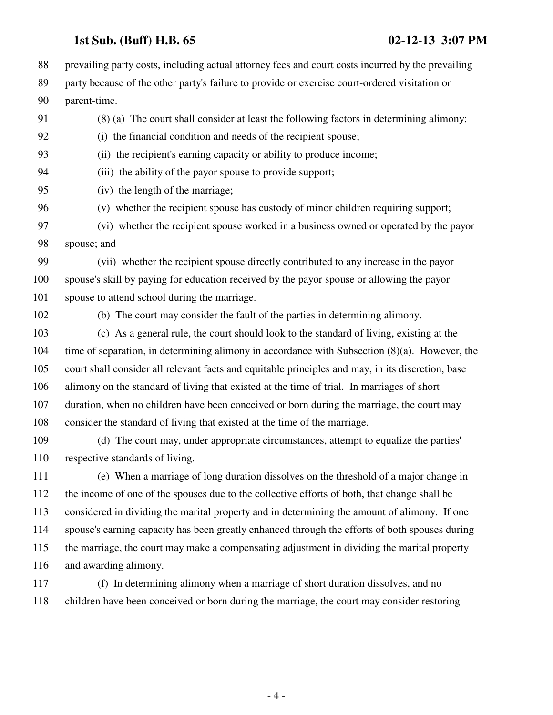88 prevailing party costs, including actual attorney fees and court costs incurred by the prevailing 89 party because of the other party's failure to provide or exercise court-ordered visitation or 90 parent-time.

91 (8) (a) The court shall consider at least the following factors in determining alimony:

92 (i) the financial condition and needs of the recipient spouse;

93 (ii) the recipient's earning capacity or ability to produce income;

94 (iii) the ability of the payor spouse to provide support;

95 (iv) the length of the marriage;

96 (v) whether the recipient spouse has custody of minor children requiring support;

97 (vi) whether the recipient spouse worked in a business owned or operated by the payor 98 spouse; and

99 (vii) whether the recipient spouse directly contributed to any increase in the payor 100 spouse's skill by paying for education received by the payor spouse or allowing the payor 101 spouse to attend school during the marriage.

102 (b) The court may consider the fault of the parties in determining alimony.

103 (c) As a general rule, the court should look to the standard of living, existing at the 104 time of separation, in determining alimony in accordance with Subsection (8)(a). However, the 105 court shall consider all relevant facts and equitable principles and may, in its discretion, base 106 alimony on the standard of living that existed at the time of trial. In marriages of short 107 duration, when no children have been conceived or born during the marriage, the court may 108 consider the standard of living that existed at the time of the marriage.

109 (d) The court may, under appropriate circumstances, attempt to equalize the parties' 110 respective standards of living.

111 (e) When a marriage of long duration dissolves on the threshold of a major change in 112 the income of one of the spouses due to the collective efforts of both, that change shall be 113 considered in dividing the marital property and in determining the amount of alimony. If one 114 spouse's earning capacity has been greatly enhanced through the efforts of both spouses during 115 the marriage, the court may make a compensating adjustment in dividing the marital property 116 and awarding alimony.

117 (f) In determining alimony when a marriage of short duration dissolves, and no 118 children have been conceived or born during the marriage, the court may consider restoring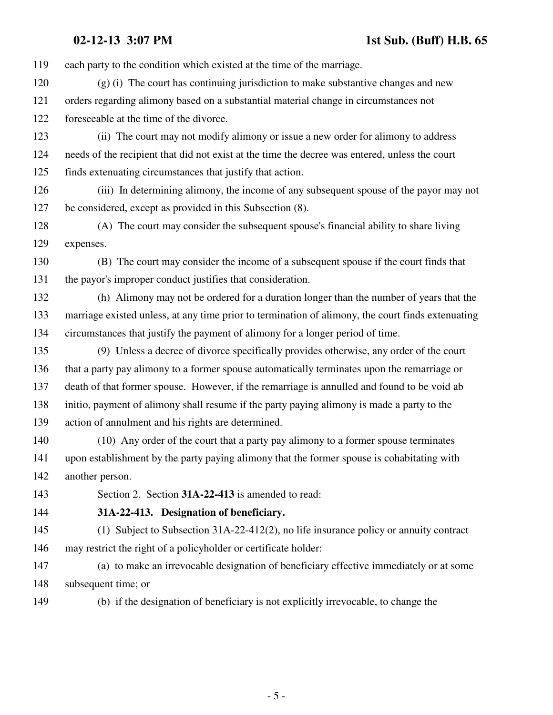119 each party to the condition which existed at the time of the marriage.

120 (g) (i) The court has continuing jurisdiction to make substantive changes and new 121 orders regarding alimony based on a substantial material change in circumstances not 122 foreseeable at the time of the divorce.

123 (ii) The court may not modify alimony or issue a new order for alimony to address 124 needs of the recipient that did not exist at the time the decree was entered, unless the court 125 finds extenuating circumstances that justify that action.

126 (iii) In determining alimony, the income of any subsequent spouse of the payor may not 127 be considered, except as provided in this Subsection (8).

128 (A) The court may consider the subsequent spouse's financial ability to share living 129 expenses.

130 (B) The court may consider the income of a subsequent spouse if the court finds that 131 the payor's improper conduct justifies that consideration.

132 (h) Alimony may not be ordered for a duration longer than the number of years that the 133 marriage existed unless, at any time prior to termination of alimony, the court finds extenuating 134 circumstances that justify the payment of alimony for a longer period of time.

135 (9) Unless a decree of divorce specifically provides otherwise, any order of the court 136 that a party pay alimony to a former spouse automatically terminates upon the remarriage or 137 death of that former spouse. However, if the remarriage is annulled and found to be void ab 138 initio, payment of alimony shall resume if the party paying alimony is made a party to the 139 action of annulment and his rights are determined.

140 (10) Any order of the court that a party pay alimony to a former spouse terminates 141 upon establishment by the party paying alimony that the former spouse is cohabitating with 142 another person.

143 Section 2. Section **31A-22-413** is amended to read:

144 **31A-22-413. Designation of beneficiary.**

145 (1) Subject to Subsection 31A-22-412(2), no life insurance policy or annuity contract 146 may restrict the right of a policyholder or certificate holder:

147 (a) to make an irrevocable designation of beneficiary effective immediately or at some 148 subsequent time; or

149 (b) if the designation of beneficiary is not explicitly irrevocable, to change the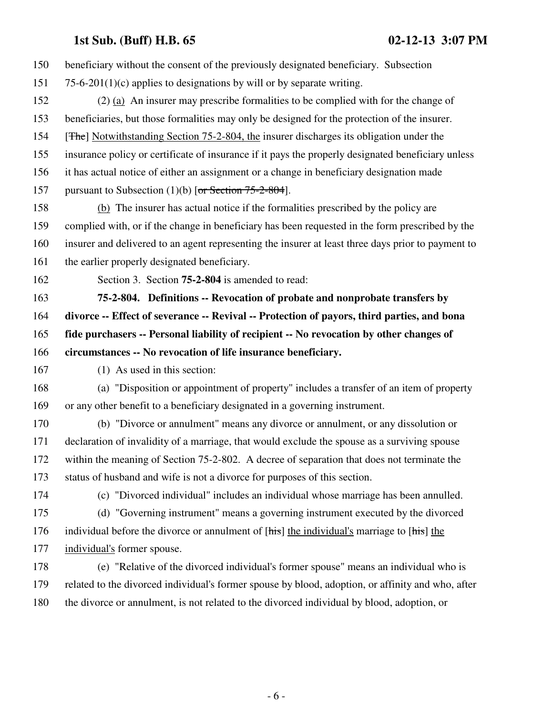| 150 | beneficiary without the consent of the previously designated beneficiary. Subsection                 |
|-----|------------------------------------------------------------------------------------------------------|
| 151 | 75-6-201(1)(c) applies to designations by will or by separate writing.                               |
| 152 | $(2)$ (a) An insurer may prescribe formalities to be complied with for the change of                 |
| 153 | beneficiaries, but those formalities may only be designed for the protection of the insurer.         |
| 154 | [ <del>The</del> ] Notwithstanding Section 75-2-804, the insurer discharges its obligation under the |
| 155 | insurance policy or certificate of insurance if it pays the properly designated beneficiary unless   |
| 156 | it has actual notice of either an assignment or a change in beneficiary designation made             |
| 157 | pursuant to Subsection (1)(b) [or Section $75-2-804$ ].                                              |
| 158 | (b) The insurer has actual notice if the formalities prescribed by the policy are                    |
| 159 | complied with, or if the change in beneficiary has been requested in the form prescribed by the      |
| 160 | insurer and delivered to an agent representing the insurer at least three days prior to payment to   |
| 161 | the earlier properly designated beneficiary.                                                         |
| 162 | Section 3. Section <b>75-2-804</b> is amended to read:                                               |
| 163 | 75-2-804. Definitions -- Revocation of probate and nonprobate transfers by                           |
| 164 | divorce -- Effect of severance -- Revival -- Protection of payors, third parties, and bona           |
| 165 | fide purchasers -- Personal liability of recipient -- No revocation by other changes of              |
| 166 | circumstances -- No revocation of life insurance beneficiary.                                        |
| 167 | (1) As used in this section:                                                                         |
| 168 | (a) "Disposition or appointment of property" includes a transfer of an item of property              |
| 169 | or any other benefit to a beneficiary designated in a governing instrument.                          |
| 170 | (b) "Divorce or annulment" means any divorce or annulment, or any dissolution or                     |
| 171 | declaration of invalidity of a marriage, that would exclude the spouse as a surviving spouse         |
| 172 | within the meaning of Section 75-2-802. A decree of separation that does not terminate the           |
| 173 | status of husband and wife is not a divorce for purposes of this section.                            |
| 174 | (c) "Divorced individual" includes an individual whose marriage has been annulled.                   |
| 175 | (d) "Governing instrument" means a governing instrument executed by the divorced                     |
| 176 | individual before the divorce or annulment of [his] the individual's marriage to [his] the           |
| 177 | individual's former spouse.                                                                          |
| 178 |                                                                                                      |
|     | (e) "Relative of the divorced individual's former spouse" means an individual who is                 |
| 179 | related to the divorced individual's former spouse by blood, adoption, or affinity and who, after    |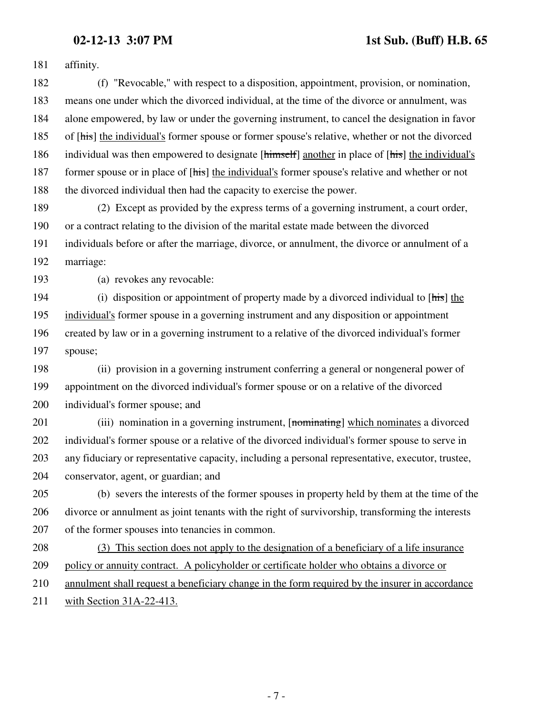181 affinity.

182 (f) "Revocable," with respect to a disposition, appointment, provision, or nomination, 183 means one under which the divorced individual, at the time of the divorce or annulment, was 184 alone empowered, by law or under the governing instrument, to cancel the designation in favor 185 of [his] the individual's former spouse or former spouse's relative, whether or not the divorced 186 individual was then empowered to designate [himself] another in place of [his] the individual's 187 former spouse or in place of [his] the individual's former spouse's relative and whether or not 188 the divorced individual then had the capacity to exercise the power.

189 (2) Except as provided by the express terms of a governing instrument, a court order, 190 or a contract relating to the division of the marital estate made between the divorced 191 individuals before or after the marriage, divorce, or annulment, the divorce or annulment of a 192 marriage:

193 (a) revokes any revocable:

194 (i) disposition or appointment of property made by a divorced individual to [his] the 195 individual's former spouse in a governing instrument and any disposition or appointment 196 created by law or in a governing instrument to a relative of the divorced individual's former 197 spouse;

198 (ii) provision in a governing instrument conferring a general or nongeneral power of 199 appointment on the divorced individual's former spouse or on a relative of the divorced 200 individual's former spouse; and

201 (iii) nomination in a governing instrument, [nominating] which nominates a divorced 202 individual's former spouse or a relative of the divorced individual's former spouse to serve in 203 any fiduciary or representative capacity, including a personal representative, executor, trustee, 204 conservator, agent, or guardian; and

205 (b) severs the interests of the former spouses in property held by them at the time of the 206 divorce or annulment as joint tenants with the right of survivorship, transforming the interests 207 of the former spouses into tenancies in common.

208 (3) This section does not apply to the designation of a beneficiary of a life insurance 209 policy or annuity contract. A policyholder or certificate holder who obtains a divorce or 210 annulment shall request a beneficiary change in the form required by the insurer in accordance

211 with Section 31A-22-413.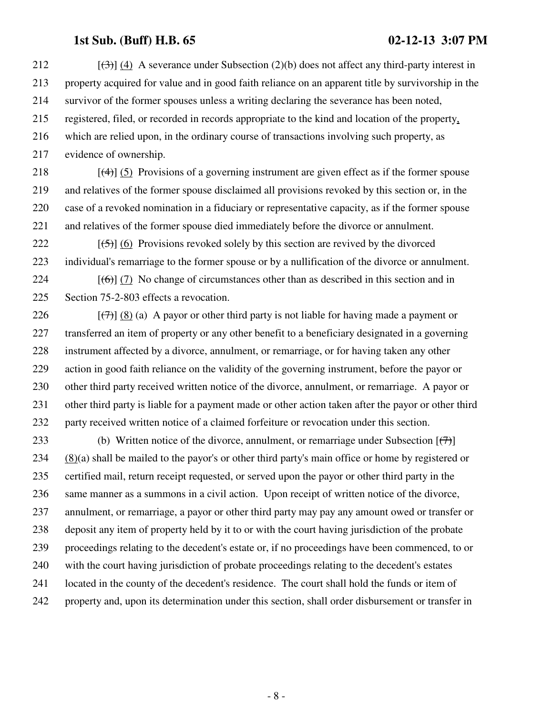212  $[(3)] (4)$  A severance under Subsection (2)(b) does not affect any third-party interest in 213 property acquired for value and in good faith reliance on an apparent title by survivorship in the 214 survivor of the former spouses unless a writing declaring the severance has been noted, 215 registered, filed, or recorded in records appropriate to the kind and location of the property, 216 which are relied upon, in the ordinary course of transactions involving such property, as 217 evidence of ownership.

218  $\left[\left(4\right)\right]$  (5) Provisions of a governing instrument are given effect as if the former spouse 219 and relatives of the former spouse disclaimed all provisions revoked by this section or, in the 220 case of a revoked nomination in a fiduciary or representative capacity, as if the former spouse 221 and relatives of the former spouse died immediately before the divorce or annulment.

222  $[(5)]$  (6) Provisions revoked solely by this section are revived by the divorced 223 individual's remarriage to the former spouse or by a nullification of the divorce or annulment.

224  $[(6)]$  (7) No change of circumstances other than as described in this section and in 225 Section 75-2-803 effects a revocation.

226  $[(7)$   $(8)$  (a) A payor or other third party is not liable for having made a payment or 227 transferred an item of property or any other benefit to a beneficiary designated in a governing 228 instrument affected by a divorce, annulment, or remarriage, or for having taken any other 229 action in good faith reliance on the validity of the governing instrument, before the payor or 230 other third party received written notice of the divorce, annulment, or remarriage. A payor or 231 other third party is liable for a payment made or other action taken after the payor or other third 232 party received written notice of a claimed forfeiture or revocation under this section.

233 (b) Written notice of the divorce, annulment, or remarriage under Subsection  $[\langle \overline{\tau} \rangle]$ 234 (8)(a) shall be mailed to the payor's or other third party's main office or home by registered or 235 certified mail, return receipt requested, or served upon the payor or other third party in the 236 same manner as a summons in a civil action. Upon receipt of written notice of the divorce, 237 annulment, or remarriage, a payor or other third party may pay any amount owed or transfer or 238 deposit any item of property held by it to or with the court having jurisdiction of the probate 239 proceedings relating to the decedent's estate or, if no proceedings have been commenced, to or 240 with the court having jurisdiction of probate proceedings relating to the decedent's estates 241 located in the county of the decedent's residence. The court shall hold the funds or item of 242 property and, upon its determination under this section, shall order disbursement or transfer in